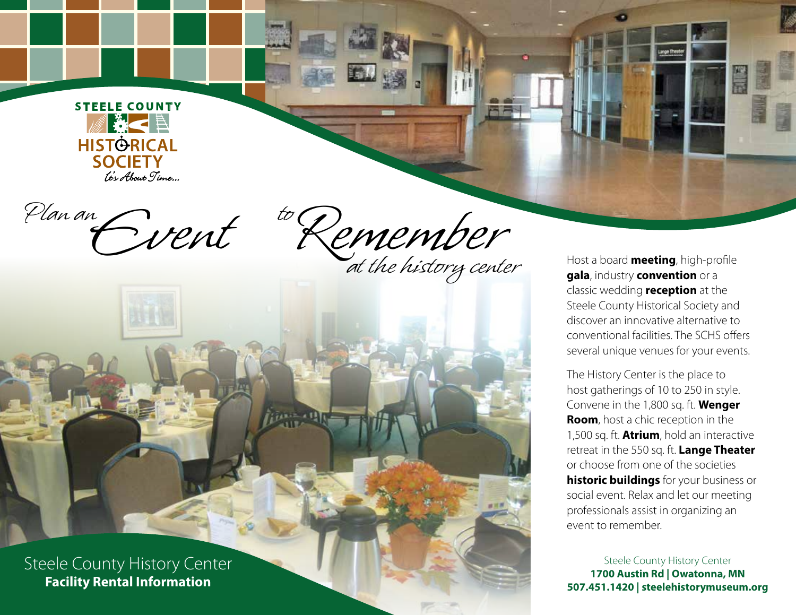

Plan an Gwent

Event to Remember<br>at the history center Host a board meeting, high-profile

 $-111$ 

Steele County History Center **Facility Rental Information**

**gala**, industry **convention** or a classic wedding **reception** at the Steele County Historical Society and discover an innovative alternative to conventional facilities. The SCHS offers several unique venues for your events.

**Linge Their** 

The History Center is the place to host gatherings of 10 to 250 in style. Convene in the 1,800 sq. ft. **Wenger Room**, host a chic reception in the 1,500 sq. ft. **Atrium**, hold an interactive retreat in the 550 sq. ft. **Lange Theater** or choose from one of the societies **historic buildings** for your business or social event. Relax and let our meeting professionals assist in organizing an event to remember.

Steele County History Center **1700 Austin Rd | Owatonna, MN 507.451.1420 | steelehistorymuseum.org**